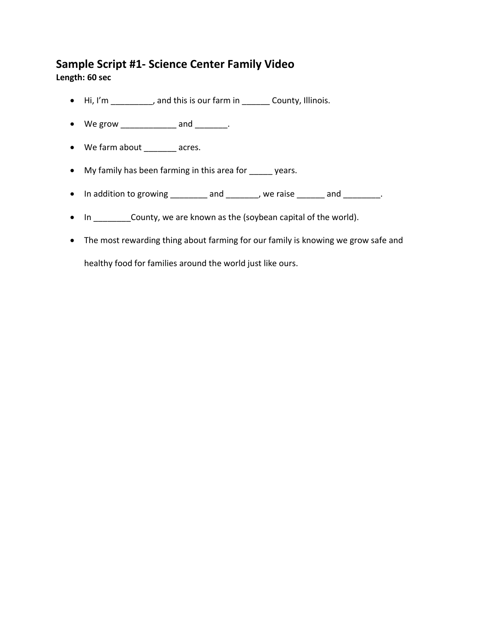## **Sample Script #1- Science Center Family Video**

**Length: 60 sec**

- Hi, I'm \_\_\_\_\_\_\_\_, and this is our farm in \_\_\_\_\_\_\_ County, Illinois.
- We grow \_\_\_\_\_\_\_\_\_\_\_\_\_ and \_\_\_\_\_\_\_.
- We farm about \_\_\_\_\_\_\_ acres.
- My family has been farming in this area for \_\_\_\_\_ years.
- In addition to growing and , we raise and .
- In \_\_\_\_\_\_\_\_\_ County, we are known as the (soybean capital of the world).
- The most rewarding thing about farming for our family is knowing we grow safe and

healthy food for families around the world just like ours.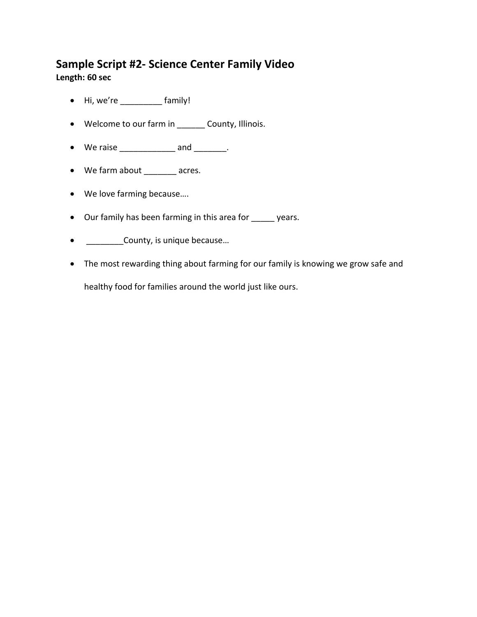## **Sample Script #2- Science Center Family Video**

**Length: 60 sec**

- Hi, we're \_\_\_\_\_\_\_\_\_ family!
- Welcome to our farm in \_\_\_\_\_\_ County, Illinois.
- $\bullet$  We raise \_\_\_\_\_\_\_\_\_\_\_\_\_\_\_\_ and \_\_\_\_\_\_\_.
- We farm about \_\_\_\_\_\_\_\_ acres.
- We love farming because….
- Our family has been farming in this area for \_\_\_\_\_ years.
- \_\_\_\_\_\_\_\_\_\_\_County, is unique because...
- The most rewarding thing about farming for our family is knowing we grow safe and

healthy food for families around the world just like ours.